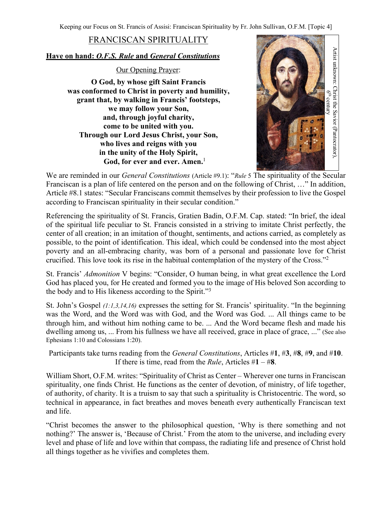Keeping our Focus on St. Francis of Assisi: Franciscan Spirituality by Fr. John Sullivan, O.F.M. [Topic 4]

## FRANCISCAN SPIRITUALITY

## **Have on hand:** *O.F.S. Rule* **and** *General Constitutions*

Our Opening Prayer:

**O God, by whose gift Saint Francis was conformed to Christ in poverty and humility, grant that, by walking in Francis' footsteps, we may follow your Son, and, through joyful charity, come to be united with you. Through our Lord Jesus Christ, your Son, who lives and reigns with you in the unity of the Holy Spirit, God, for ever and ever. Amen.**<sup>1</sup>



We are reminded in our *General Constitutions* (Article #9.1): "*Rule* 5 The spirituality of the Secular Franciscan is a plan of life centered on the person and on the following of Christ, …" In addition, Article #8.1 states: "Secular Franciscans commit themselves by their profession to live the Gospel according to Franciscan spirituality in their secular condition."

Referencing the spirituality of St. Francis, Gratien Badin, O.F.M. Cap. stated: "In brief, the ideal of the spiritual life peculiar to St. Francis consisted in a striving to imitate Christ perfectly, the center of all creation; in an imitation of thought, sentiments, and actions carried, as completely as possible, to the point of identification. This ideal, which could be condensed into the most abject poverty and an all-embracing charity, was born of a personal and passionate love for Christ crucified. This love took its rise in the habitual contemplation of the mystery of the Cross."2

St. Francis' *Admonition* V begins: "Consider, O human being, in what great excellence the Lord God has placed you, for He created and formed you to the image of His beloved Son according to the body and to His likeness according to the Spirit."3

St. John's Gospel *(1:1,3,14,16)* expresses the setting for St. Francis' spirituality. "In the beginning was the Word, and the Word was with God, and the Word was God. ... All things came to be through him, and without him nothing came to be. ... And the Word became flesh and made his dwelling among us, ... From his fullness we have all received, grace in place of grace, ..." (See also Ephesians 1:10 and Colossians 1:20).

Participants take turns reading from the *General Constitutions*, Articles #**1**, #**3**, #**8**, #**9**, and #**10**. If there is time, read from the *Rule*, Articles #**1** – #**8**.

William Short, O.F.M. writes: "Spirituality of Christ as Center – Wherever one turns in Franciscan spirituality, one finds Christ. He functions as the center of devotion, of ministry, of life together, of authority, of charity. It is a truism to say that such a spirituality is Christocentric. The word, so technical in appearance, in fact breathes and moves beneath every authentically Franciscan text and life.

"Christ becomes the answer to the philosophical question, 'Why is there something and not nothing?' The answer is, 'Because of Christ.' From the atom to the universe, and including every level and phase of life and love within that compass, the radiating life and presence of Christ hold all things together as he vivifies and completes them.